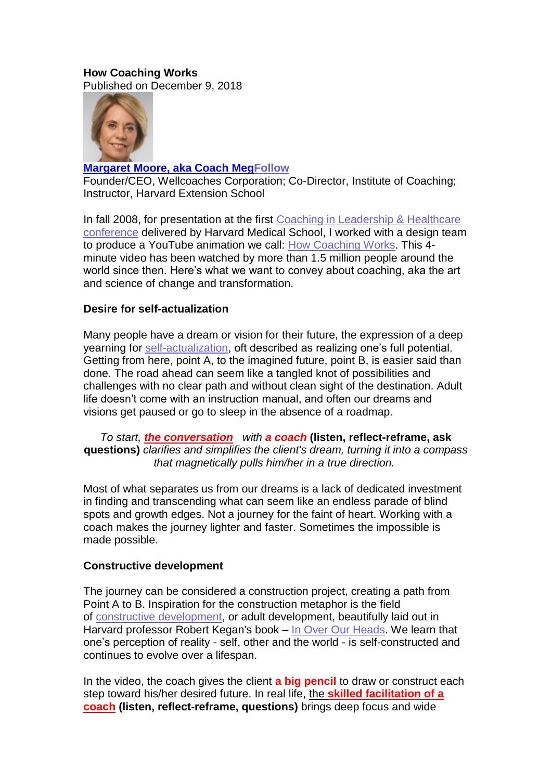# **How Coaching Works**

Published on December 9, 2018



# **[Margaret](https://www.linkedin.com/in/coachmeg?trk=author_mini-profile_title) Moore, aka Coach Me[gFollow](https://www.linkedin.com/uas/login?session_redirect=https%3A%2F%2Fwww%2Elinkedin%2Ecom%2Fpulse%2Fhow-coaching-works-coach-meg-margaret-moore-aka-coach-meg&trk=author-info__follow-button)**

Founder/CEO, Wellcoaches Corporation; Co-Director, Institute of Coaching; Instructor, Harvard Extension School

In fall 2008, for presentation at the first Coaching in [Leadership](https://instituteofcoaching.org/conferences-events/ioc-annual-conference) & Healthcare [conference](https://instituteofcoaching.org/conferences-events/ioc-annual-conference) delivered by Harvard Medical School, I worked with a design team to produce a YouTube animation we call: How [Coaching](https://www.youtube.com/watch?v=UY75MQte4RU) Works. This 4 minute video has been watched by more than 1.5 million people around the world since then. Here's what we want to convey about coaching, aka the art and science of change and transformation.

# **Desire for self-actualization**

Many people have a dream or vision for their future, the expression of a deep yearning for [self-actualization,](https://en.wikipedia.org/wiki/Self-actualization) oft described as realizing one's full potential. Getting from here, point A, to the imagined future, point B, is easier said than done. The road ahead can seem like a tangled knot of possibilities and challenges with no clear path and without clean sight of the destination. Adult life doesn't come with an instruction manual, and often our dreams and visions get paused or go to sleep in the absence of a roadmap.

*To start, the conversation with a coach* **(listen, reflect-reframe, ask questions)** *clarifies and simplifies the client's dream, turning it into a compass that magnetically pulls him/her in a true direction.*

Most of what separates us from our dreams is a lack of dedicated investment in finding and transcending what can seem like an endless parade of blind spots and growth edges. Not a journey for the faint of heart. Working with a coach makes the journey lighter and faster. Sometimes the impossible is made possible.

### **Constructive development**

The journey can be considered a construction project, creating a path from Point A to B. Inspiration for the construction metaphor is the field of constructive [development,](https://en.wikipedia.org/wiki/Constructive_developmental_framework) or adult development, beautifully laid out in Harvard professor Robert Kegan's book – In Over Our [Heads.](http://www.hup.harvard.edu/catalog.php?isbn=9780674445888) We learn that one's perception of reality - self, other and the world - is self-constructed and continues to evolve over a lifespan.

In the video, the coach gives the client **a big pencil** to draw or construct each step toward his/her desired future. In real life, the **skilled facilitation of a coach (listen, reflect-reframe, questions)** brings deep focus and wide